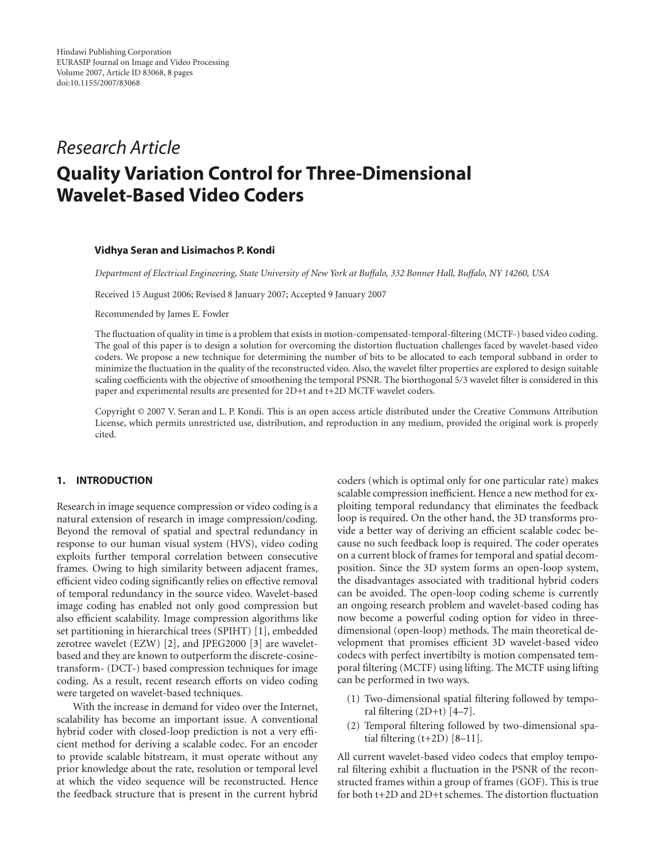## *Research Article*

# **Quality Variation Control for Three-Dimensional Wavelet-Based Video Coders**

#### **Vidhya Seran and Lisimachos P. Kondi**

*Department of Electrical Engineering, State University of New York at Buffalo, 332 Bonner Hall, Buffalo, NY 14260, USA*

Received 15 August 2006; Revised 8 January 2007; Accepted 9 January 2007

Recommended by James E. Fowler

The fluctuation of quality in time is a problem that exists in motion-compensated-temporal-filtering (MCTF-) based video coding. The goal of this paper is to design a solution for overcoming the distortion fluctuation challenges faced by wavelet-based video coders. We propose a new technique for determining the number of bits to be allocated to each temporal subband in order to minimize the fluctuation in the quality of the reconstructed video. Also, the wavelet filter properties are explored to design suitable scaling coefficients with the objective of smoothening the temporal PSNR. The biorthogonal 5*/*3 wavelet filter is considered in this paper and experimental results are presented for 2D+t and t+2D MCTF wavelet coders.

Copyright © 2007 V. Seran and L. P. Kondi. This is an open access article distributed under the Creative Commons Attribution License, which permits unrestricted use, distribution, and reproduction in any medium, provided the original work is properly cited.

## **1. INTRODUCTION**

Research in image sequence compression or video coding is a natural extension of research in image compression/coding. Beyond the removal of spatial and spectral redundancy in response to our human visual system (HVS), video coding exploits further temporal correlation between consecutive frames. Owing to high similarity between adjacent frames, efficient video coding significantly relies on effective removal of temporal redundancy in the source video. Wavelet-based image coding has enabled not only good compression but also efficient scalability. Image compression algorithms like set partitioning in hierarchical trees (SPIHT) [\[1](#page-7-1)], embedded zerotree wavelet (EZW) [\[2\]](#page-7-2), and JPEG2000 [\[3\]](#page-7-3) are waveletbased and they are known to outperform the discrete-cosinetransform- (DCT-) based compression techniques for image coding. As a result, recent research efforts on video coding were targeted on wavelet-based techniques.

With the increase in demand for video over the Internet, scalability has become an important issue. A conventional hybrid coder with closed-loop prediction is not a very efficient method for deriving a scalable codec. For an encoder to provide scalable bitstream, it must operate without any prior knowledge about the rate, resolution or temporal level at which the video sequence will be reconstructed. Hence the feedback structure that is present in the current hybrid coders (which is optimal only for one particular rate) makes scalable compression inefficient. Hence a new method for exploiting temporal redundancy that eliminates the feedback loop is required. On the other hand, the 3D transforms provide a better way of deriving an efficient scalable codec because no such feedback loop is required. The coder operates on a current block of frames for temporal and spatial decomposition. Since the 3D system forms an open-loop system, the disadvantages associated with traditional hybrid coders can be avoided. The open-loop coding scheme is currently an ongoing research problem and wavelet-based coding has now become a powerful coding option for video in threedimensional (open-loop) methods. The main theoretical development that promises efficient 3D wavelet-based video codecs with perfect invertibilty is motion compensated temporal filtering (MCTF) using lifting. The MCTF using lifting can be performed in two ways.

- (1) Two-dimensional spatial filtering followed by temporal filtering (2D+t) [\[4](#page-7-4)[–7\]](#page-7-5).
- (2) Temporal filtering followed by two-dimensional spatial filtering (t+2D) [\[8](#page-7-6)[–11\]](#page-7-7).

All current wavelet-based video codecs that employ temporal filtering exhibit a fluctuation in the PSNR of the reconstructed frames within a group of frames (GOF). This is true for both t+2D and 2D+t schemes. The distortion fluctuation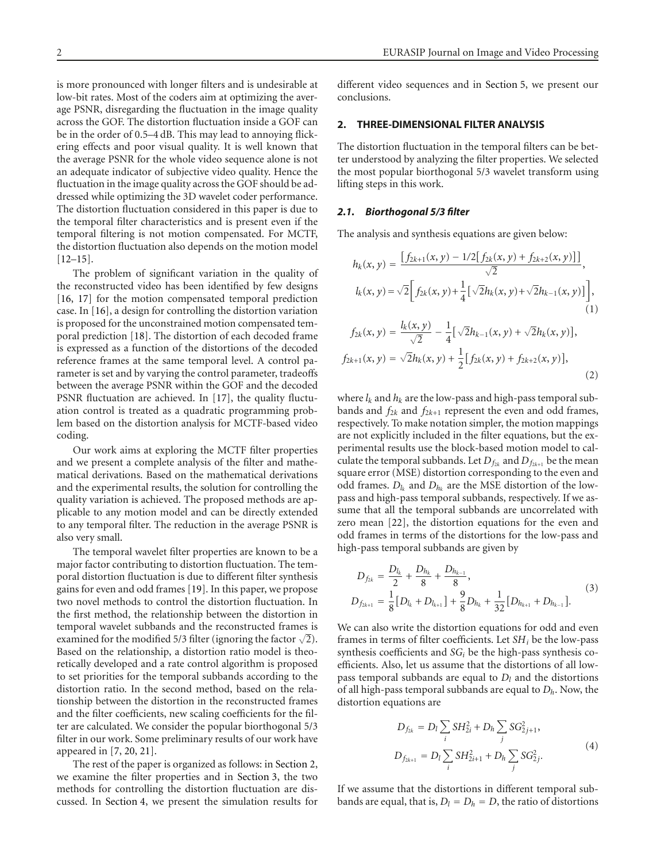is more pronounced with longer filters and is undesirable at low-bit rates. Most of the coders aim at optimizing the average PSNR, disregarding the fluctuation in the image quality across the GOF. The distortion fluctuation inside a GOF can be in the order of 0.5–4 dB. This may lead to annoying flickering effects and poor visual quality. It is well known that the average PSNR for the whole video sequence alone is not an adequate indicator of subjective video quality. Hence the fluctuation in the image quality across the GOF should be addressed while optimizing the 3D wavelet coder performance. The distortion fluctuation considered in this paper is due to the temporal filter characteristics and is present even if the temporal filtering is not motion compensated. For MCTF, the distortion fluctuation also depends on the motion model  $[12-15]$  $[12-15]$ .

The problem of significant variation in the quality of the reconstructed video has been identified by few designs [\[16](#page-7-10), [17](#page-7-11)] for the motion compensated temporal prediction case. In [\[16\]](#page-7-10), a design for controlling the distortion variation is proposed for the unconstrained motion compensated temporal prediction [\[18\]](#page-7-12). The distortion of each decoded frame is expressed as a function of the distortions of the decoded reference frames at the same temporal level. A control parameter is set and by varying the control parameter, tradeoffs between the average PSNR within the GOF and the decoded PSNR fluctuation are achieved. In [\[17](#page-7-11)], the quality fluctuation control is treated as a quadratic programming problem based on the distortion analysis for MCTF-based video coding.

Our work aims at exploring the MCTF filter properties and we present a complete analysis of the filter and mathematical derivations. Based on the mathematical derivations and the experimental results, the solution for controlling the quality variation is achieved. The proposed methods are applicable to any motion model and can be directly extended to any temporal filter. The reduction in the average PSNR is also very small.

The temporal wavelet filter properties are known to be a major factor contributing to distortion fluctuation. The temporal distortion fluctuation is due to different filter synthesis gains for even and odd frames [\[19](#page-7-13)]. In this paper, we propose two novel methods to control the distortion fluctuation. In the first method, the relationship between the distortion in temporal wavelet subbands and the reconstructed frames is examined for the modified 5/3 filter (ignoring the factor  $\sqrt{2}$ ). Based on the relationship, a distortion ratio model is theoretically developed and a rate control algorithm is proposed to set priorities for the temporal subbands according to the distortion ratio. In the second method, based on the relationship between the distortion in the reconstructed frames and the filter coefficients, new scaling coefficients for the filter are calculated. We consider the popular biorthogonal 5/3 filter in our work. Some preliminary results of our work have appeared in [\[7,](#page-7-5) [20,](#page-7-14) [21](#page-7-15)].

The rest of the paper is organized as follows: in [Section 2,](#page-1-0) we examine the filter properties and in [Section 3,](#page-2-0) the two methods for controlling the distortion fluctuation are discussed. In [Section 4,](#page-4-0) we present the simulation results for different video sequences and in [Section 5,](#page-5-0) we present our conclusions.

## <span id="page-1-0"></span>**2. THREE-DIMENSIONAL FILTER ANALYSIS**

The distortion fluctuation in the temporal filters can be better understood by analyzing the filter properties. We selected the most popular biorthogonal 5/3 wavelet transform using lifting steps in this work.

#### <span id="page-1-3"></span>*2.1. Biorthogonal 5/3 filter*

The analysis and synthesis equations are given below:

<span id="page-1-2"></span>
$$
h_k(x, y) = \frac{[f_{2k+1}(x, y) - 1/2[f_{2k}(x, y) + f_{2k+2}(x, y)]]}{\sqrt{2}},
$$
  

$$
l_k(x, y) = \sqrt{2} \Big[ f_{2k}(x, y) + \frac{1}{4} [\sqrt{2}h_k(x, y) + \sqrt{2}h_{k-1}(x, y)] \Big],
$$
  
(1)

$$
f_{2k}(x, y) = \frac{l_k(x, y)}{\sqrt{2}} - \frac{1}{4} [\sqrt{2}h_{k-1}(x, y) + \sqrt{2}h_k(x, y)],
$$
  

$$
f_{2k+1}(x, y) = \sqrt{2}h_k(x, y) + \frac{1}{2} [f_{2k}(x, y) + f_{2k+2}(x, y)],
$$
  
(2)

where  $l_k$  and  $h_k$  are the low-pass and high-pass temporal subbands and  $f_{2k}$  and  $f_{2k+1}$  represent the even and odd frames, respectively. To make notation simpler, the motion mappings are not explicitly included in the filter equations, but the experimental results use the block-based motion model to calculate the temporal subbands. Let  $D_{f_{2k}}$  and  $D_{f_{2k+1}}$  be the mean square error (MSE) distortion corresponding to the even and odd frames.  $D_{l_k}$  and  $D_{l_k}$  are the MSE distortion of the lowpass and high-pass temporal subbands, respectively. If we assume that all the temporal subbands are uncorrelated with zero mean [\[22\]](#page-7-16), the distortion equations for the even and odd frames in terms of the distortions for the low-pass and high-pass temporal subbands are given by

<span id="page-1-1"></span>
$$
D_{f_{2k}} = \frac{D_{l_k}}{2} + \frac{D_{h_k}}{8} + \frac{D_{h_{k-1}}}{8},
$$
  
\n
$$
D_{f_{2k+1}} = \frac{1}{8} [D_{l_k} + D_{l_{k+1}}] + \frac{9}{8} D_{h_k} + \frac{1}{32} [D_{h_{k+1}} + D_{h_{k-1}}].
$$
\n(3)

We can also write the distortion equations for odd and even frames in terms of filter coefficients. Let  $SH_i$  be the low-pass synthesis coefficients and *SGi* be the high-pass synthesis coefficients. Also, let us assume that the distortions of all lowpass temporal subbands are equal to  $D_l$  and the distortions of all high-pass temporal subbands are equal to *Dh*. Now, the distortion equations are

$$
D_{f_{2k}} = D_l \sum_i SH_{2i}^2 + D_h \sum_j SG_{2j+1}^2,
$$
  

$$
D_{f_{2k+1}} = D_l \sum_i SH_{2i+1}^2 + D_h \sum_j SG_{2j}^2.
$$
 (4)

If we assume that the distortions in different temporal subbands are equal, that is,  $D_l = D_h = D$ , the ratio of distortions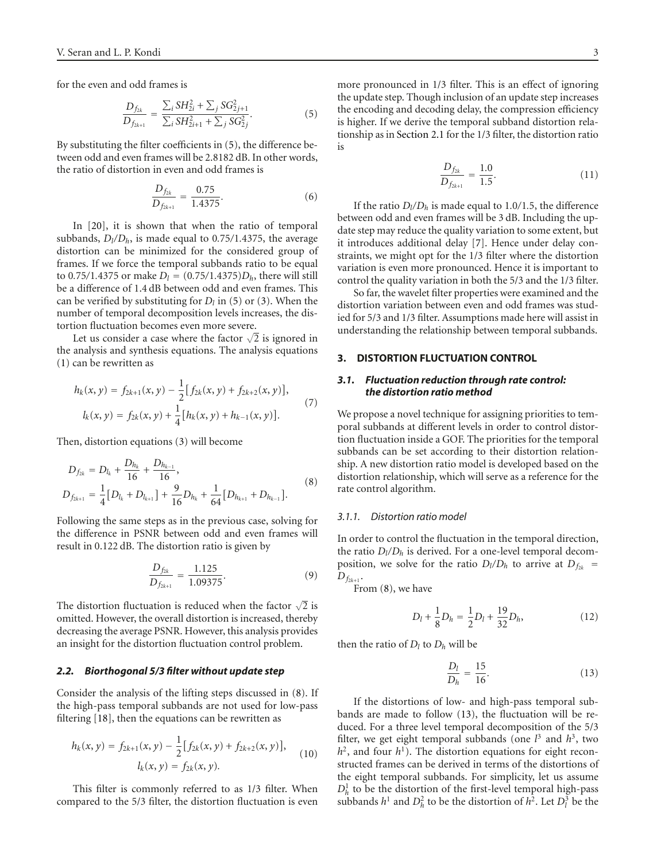for the even and odd frames is

<span id="page-2-1"></span>
$$
\frac{D_{f_{2k}}}{D_{f_{2k+1}}} = \frac{\sum_{i} SH_{2i}^2 + \sum_{j} SG_{2j+1}^2}{\sum_{i} SH_{2i+1}^2 + \sum_{j} SG_{2j}^2}.
$$
\n(5)

By substituting the filter coefficients in [\(5\)](#page-2-1), the difference between odd and even frames will be 2.8182 dB. In other words, the ratio of distortion in even and odd frames is

$$
\frac{D_{f_{2k}}}{D_{f_{2k+1}}} = \frac{0.75}{1.4375}.\tag{6}
$$

In [\[20\]](#page-7-14), it is shown that when the ratio of temporal subbands, *Dl/Dh*, is made equal to 0*.*75*/*1*.*4375, the average distortion can be minimized for the considered group of frames. If we force the temporal subbands ratio to be equal to 0.75/1.4375 or make  $D_l = (0.75/1.4375)D_h$ , there will still be a difference of 1.4 dB between odd and even frames. This can be verified by substituting for  $D_l$  in [\(5\)](#page-2-1) or [\(3\)](#page-1-1). When the number of temporal decomposition levels increases, the distortion fluctuation becomes even more severe.

Let us consider a case where the factor  $\sqrt{2}$  is ignored in the analysis and synthesis equations. The analysis equations [\(1\)](#page-1-2) can be rewritten as

$$
h_k(x, y) = f_{2k+1}(x, y) - \frac{1}{2} [f_{2k}(x, y) + f_{2k+2}(x, y)],
$$
  
\n
$$
l_k(x, y) = f_{2k}(x, y) + \frac{1}{4} [h_k(x, y) + h_{k-1}(x, y)].
$$
\n(7)

Then, distortion equations [\(3\)](#page-1-1) will become

$$
D_{f_{2k}} = D_{l_k} + \frac{D_{h_k}}{16} + \frac{D_{h_{k-1}}}{16},
$$
  
\n
$$
D_{f_{2k+1}} = \frac{1}{4} [D_{l_k} + D_{l_{k+1}}] + \frac{9}{16} D_{h_k} + \frac{1}{64} [D_{h_{k+1}} + D_{h_{k-1}}].
$$
\n(8)

Following the same steps as in the previous case, solving for the difference in PSNR between odd and even frames will result in 0.122 dB. The distortion ratio is given by

$$
\frac{D_{f_{2k}}}{D_{f_{2k+1}}} = \frac{1.125}{1.09375}.
$$
 (9)

The distortion fluctuation is reduced when the factor  $\sqrt{2}$  is omitted. However, the overall distortion is increased, thereby decreasing the average PSNR. However, this analysis provides an insight for the distortion fluctuation control problem.

#### *2.2. Biorthogonal 5/3 filter without update step*

Consider the analysis of the lifting steps discussed in [\(8\)](#page-2-2). If the high-pass temporal subbands are not used for low-pass filtering [\[18](#page-7-12)], then the equations can be rewritten as

$$
h_k(x, y) = f_{2k+1}(x, y) - \frac{1}{2} [f_{2k}(x, y) + f_{2k+2}(x, y)],
$$
  
\n
$$
l_k(x, y) = f_{2k}(x, y).
$$
\n(10)

This filter is commonly referred to as 1/3 filter. When compared to the 5/3 filter, the distortion fluctuation is even more pronounced in 1/3 filter. This is an effect of ignoring the update step. Though inclusion of an update step increases the encoding and decoding delay, the compression efficiency is higher. If we derive the temporal subband distortion relationship as in [Section 2.1](#page-1-3) for the 1/3 filter, the distortion ratio is

$$
\frac{D_{f_{2k}}}{D_{f_{2k+1}}} = \frac{1.0}{1.5}.
$$
\n(11)

If the ratio  $D_l/D_h$  is made equal to 1.0/1.5, the difference between odd and even frames will be 3 dB. Including the update step may reduce the quality variation to some extent, but it introduces additional delay [\[7](#page-7-5)]. Hence under delay constraints, we might opt for the 1/3 filter where the distortion variation is even more pronounced. Hence it is important to control the quality variation in both the 5/3 and the 1/3 filter.

So far, the wavelet filter properties were examined and the distortion variation between even and odd frames was studied for 5/3 and 1/3 filter. Assumptions made here will assist in understanding the relationship between temporal subbands.

#### <span id="page-2-4"></span><span id="page-2-0"></span>**3. DISTORTION FLUCTUATION CONTROL**

#### *3.1. Fluctuation reduction through rate control: the distortion ratio method*

<span id="page-2-2"></span>We propose a novel technique for assigning priorities to temporal subbands at different levels in order to control distortion fluctuation inside a GOF. The priorities for the temporal subbands can be set according to their distortion relationship. A new distortion ratio model is developed based on the distortion relationship, which will serve as a reference for the rate control algorithm.

#### *3.1.1. Distortion ratio model*

In order to control the fluctuation in the temporal direction, the ratio *Dl/Dh* is derived. For a one-level temporal decomposition, we solve for the ratio  $D_l/D_h$  to arrive at  $D_{f_{2k}} =$  $D_{f_{2k+1}}$ .

From [\(8\)](#page-2-2), we have

$$
D_l + \frac{1}{8}D_h = \frac{1}{2}D_l + \frac{19}{32}D_h,
$$
 (12)

then the ratio of  $D_l$  to  $D_h$  will be

<span id="page-2-3"></span>
$$
\frac{D_l}{D_h} = \frac{15}{16}.\tag{13}
$$

If the distortions of low- and high-pass temporal subbands are made to follow [\(13\)](#page-2-3), the fluctuation will be reduced. For a three level temporal decomposition of the 5/3 filter, we get eight temporal subbands (one  $l^3$  and  $h^3$ , two  $h^2$ , and four  $h^1$ ). The distortion equations for eight reconstructed frames can be derived in terms of the distortions of the eight temporal subbands. For simplicity, let us assume  $D<sub>h</sub><sup>1</sup>$  to be the distortion of the first-level temporal high-pass subbands  $h^1$  and  $D_h^2$  to be the distortion of  $h^2$ . Let  $D_l^3$  be the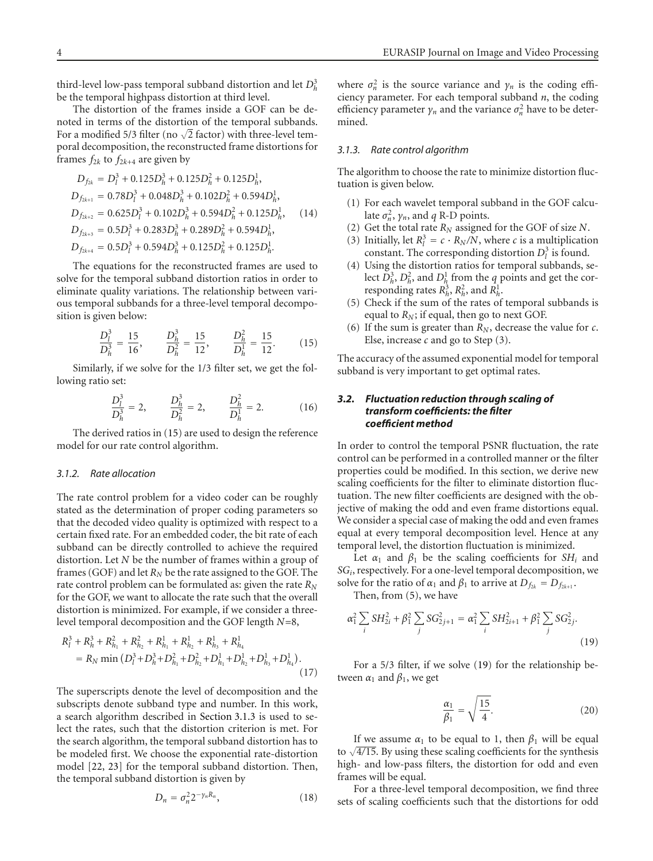third-level low-pass temporal subband distortion and let  $D_h^3$ be the temporal highpass distortion at third level.

The distortion of the frames inside a GOF can be denoted in terms of the distortion of the temporal subbands. For a modified 5/3 filter (no  $\sqrt{2}$  factor) with three-level temporal decomposition, the reconstructed frame distortions for frames  $f_{2k}$  to  $f_{2k+4}$  are given by

$$
D_{f_{2k}} = D_l^3 + 0.125D_h^3 + 0.125D_h^2 + 0.125D_h^1,
$$
  
\n
$$
D_{f_{2k+1}} = 0.78D_l^3 + 0.048D_h^3 + 0.102D_h^2 + 0.594D_h^1,
$$
  
\n
$$
D_{f_{2k+2}} = 0.625D_l^3 + 0.102D_h^3 + 0.594D_h^2 + 0.125D_h^1,
$$
  
\n
$$
D_{f_{2k+3}} = 0.5D_l^3 + 0.283D_h^3 + 0.289D_h^2 + 0.594D_h^1,
$$
  
\n
$$
D_{f_{2k+4}} = 0.5D_l^3 + 0.594D_h^3 + 0.125D_h^2 + 0.125D_h^1.
$$

The equations for the reconstructed frames are used to solve for the temporal subband distortion ratios in order to eliminate quality variations. The relationship between various temporal subbands for a three-level temporal decomposition is given below:

$$
\frac{D_l^3}{D_h^3} = \frac{15}{16}, \qquad \frac{D_h^3}{D_h^2} = \frac{15}{12}, \qquad \frac{D_h^2}{D_h^1} = \frac{15}{12}.
$$
 (15)

Similarly, if we solve for the 1/3 filter set, we get the following ratio set:

$$
\frac{D_l^3}{D_h^3} = 2, \qquad \frac{D_h^3}{D_h^2} = 2, \qquad \frac{D_h^2}{D_h^1} = 2.
$$
 (16)

The derived ratios in [\(15\)](#page-3-0) are used to design the reference model for our rate control algorithm.

#### <span id="page-3-3"></span>*3.1.2. Rate allocation*

*<sup>h</sup>* + *R*<sup>2</sup>

The rate control problem for a video coder can be roughly stated as the determination of proper coding parameters so that the decoded video quality is optimized with respect to a certain fixed rate. For an embedded coder, the bit rate of each subband can be directly controlled to achieve the required distortion. Let *N* be the number of frames within a group of frames (GOF) and let *RN* be the rate assigned to the GOF. The rate control problem can be formulated as: given the rate *RN* for the GOF, we want to allocate the rate such that the overall distortion is minimized. For example, if we consider a threelevel temporal decomposition and the GOF length *N*=8,

$$
R_{l}^{3} + R_{h}^{3} + R_{h_{1}}^{2} + R_{h_{2}}^{2} + R_{h_{1}}^{1} + R_{h_{2}}^{1} + R_{h_{3}}^{1} + R_{h_{4}}^{1}
$$
  
=  $R_{N} \min (D_{l}^{3} + D_{h}^{3} + D_{h_{1}}^{2} + D_{h_{2}}^{2} + D_{h_{1}}^{1} + D_{h_{2}}^{1} + D_{h_{3}}^{1} + D_{h_{4}}^{1}).$  (17)

The superscripts denote the level of decomposition and the subscripts denote subband type and number. In this work, a search algorithm described in [Section 3.1.3](#page-3-1) is used to select the rates, such that the distortion criterion is met. For the search algorithm, the temporal subband distortion has to be modeled first. We choose the exponential rate-distortion model [\[22,](#page-7-16) [23](#page-7-17)] for the temporal subband distortion. Then, the temporal subband distortion is given by

$$
D_n = \sigma_n^2 2^{-\gamma_n R_n},\tag{18}
$$

where  $\sigma_n^2$  is the source variance and  $\gamma_n$  is the coding efficiency parameter. For each temporal subband *n*, the coding efficiency parameter  $\gamma_n$  and the variance  $\sigma_n^2$  have to be determined.

#### <span id="page-3-1"></span>*3.1.3. Rate control algorithm*

The algorithm to choose the rate to minimize distortion fluctuation is given below.

- (1) For each wavelet temporal subband in the GOF calculate  $\sigma_n^2$ ,  $\gamma_n$ , and *q* R-D points.
- (2) Get the total rate  $R_N$  assigned for the GOF of size  $N$ .
- (3) Initially, let  $R_l^3 = c \cdot R_N/N$ , where *c* is a multiplication constant. The corresponding distortion  $D_l^3$  is found.
- (4) Using the distortion ratios for temporal subbands, select  $\overrightarrow{D_h^3}$ ,  $D_h^2$ , and  $D_h^1$  from the *q* points and get the corresponding rates  $R_h^{\prime\prime}$ ,  $R_h^2$ , and  $R_h^1$ .
- (5) Check if the sum of the rates of temporal subbands is equal to  $R_N$ ; if equal, then go to next GOF.
- (6) If the sum is greater than  $R_N$ , decrease the value for  $c$ . Else, increase *c* and go to Step (3).

<span id="page-3-0"></span>The accuracy of the assumed exponential model for temporal subband is very important to get optimal rates.

#### <span id="page-3-4"></span>*3.2. Fluctuation reduction through scaling of transform coefficients: the filter coefficient method*

In order to control the temporal PSNR fluctuation, the rate control can be performed in a controlled manner or the filter properties could be modified. In this section, we derive new scaling coefficients for the filter to eliminate distortion fluctuation. The new filter coefficients are designed with the objective of making the odd and even frame distortions equal. We consider a special case of making the odd and even frames equal at every temporal decomposition level. Hence at any temporal level, the distortion fluctuation is minimized.

Let  $\alpha_1$  and  $\beta_1$  be the scaling coefficients for *SH<sub>i</sub>* and *SGi*, respectively. For a one-level temporal decomposition, we solve for the ratio of  $\alpha_1$  and  $\beta_1$  to arrive at  $D_{f_{2k}} = D_{f_{2k+1}}$ .

Then, from [\(5\)](#page-2-1), we have

$$
\alpha_1^2 \sum_i SH_{2i}^2 + \beta_1^2 \sum_j SG_{2j+1}^2 = \alpha_1^2 \sum_i SH_{2i+1}^2 + \beta_1^2 \sum_j SG_{2j}^2.
$$
\n(19)

For a 5/3 filter, if we solve [\(19\)](#page-3-2) for the relationship between  $\alpha_1$  and  $\beta_1$ , we get

<span id="page-3-2"></span>
$$
\frac{\alpha_1}{\beta_1} = \sqrt{\frac{15}{4}}.\tag{20}
$$

If we assume  $\alpha_1$  to be equal to 1, then  $\beta_1$  will be equal to  $\sqrt{4/15}$ . By using these scaling coefficients for the synthesis high- and low-pass filters, the distortion for odd and even frames will be equal.

For a three-level temporal decomposition, we find three sets of scaling coefficients such that the distortions for odd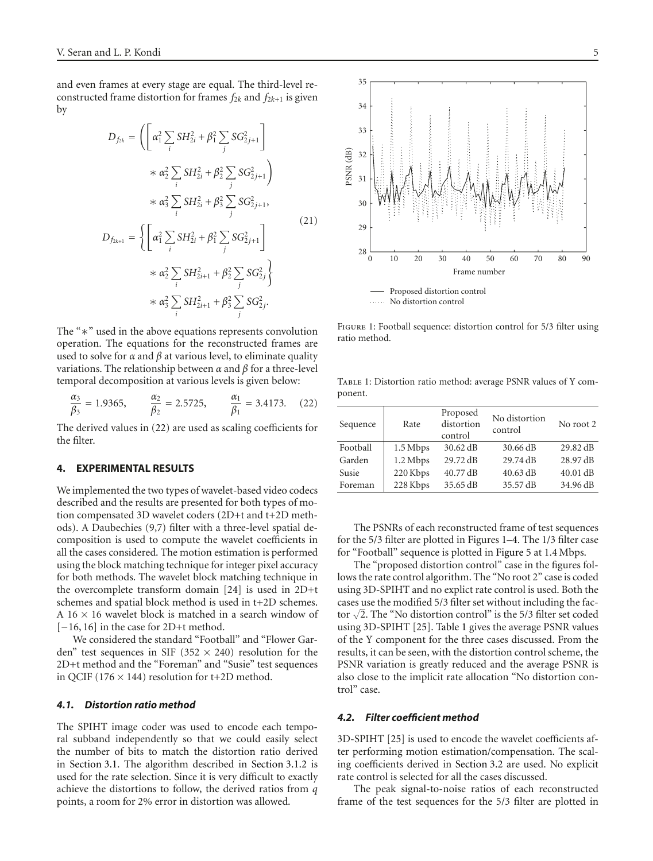and even frames at every stage are equal. The third-level reconstructed frame distortion for frames  $f_{2k}$  and  $f_{2k+1}$  is given by

$$
D_{f_{2k}} = \left( \left[ \alpha_1^2 \sum_i SH_{2i}^2 + \beta_1^2 \sum_j SG_{2j+1}^2 \right] \times \alpha_2^2 \sum_i SH_{2i}^2 + \beta_2^2 \sum_j SG_{2j+1}^2 \right)
$$
  
\n
$$
\times \alpha_3^2 \sum_i SH_{2i}^2 + \beta_3^2 \sum_j SG_{2j+1}^2,
$$
  
\n
$$
D_{f_{2k+1}} = \left\{ \left[ \alpha_1^2 \sum_i SH_{2i}^2 + \beta_1^2 \sum_j SG_{2j+1}^2 \right] \times \alpha_2^2 \sum_i SH_{2i+1}^2 + \beta_2^2 \sum_j SG_{2j}^2 \right\}
$$
  
\n
$$
\times \alpha_3^2 \sum_i SH_{2i+1}^2 + \beta_3^2 \sum_j SG_{2j}^2.
$$
  
\n(21)

The "∗" used in the above equations represents convolution operation. The equations for the reconstructed frames are used to solve for  $\alpha$  and  $\beta$  at various level, to eliminate quality variations. The relationship between *α* and *β* for a three-level temporal decomposition at various levels is given below:

$$
\frac{\alpha_3}{\beta_3} = 1.9365, \qquad \frac{\alpha_2}{\beta_2} = 2.5725, \qquad \frac{\alpha_1}{\beta_1} = 3.4173. \tag{22}
$$

The derived values in [\(22\)](#page-4-1) are used as scaling coefficients for the filter.

#### <span id="page-4-0"></span>**4. EXPERIMENTAL RESULTS**

We implemented the two types of wavelet-based video codecs described and the results are presented for both types of motion compensated 3D wavelet coders (2D+t and t+2D methods). A Daubechies (9,7) filter with a three-level spatial decomposition is used to compute the wavelet coefficients in all the cases considered. The motion estimation is performed using the block matching technique for integer pixel accuracy for both methods. The wavelet block matching technique in the overcomplete transform domain [\[24\]](#page-7-18) is used in 2D+t schemes and spatial block method is used in t+2D schemes. A  $16 \times 16$  wavelet block is matched in a search window of [−16, 16] in the case for 2D+t method.

We considered the standard "Football" and "Flower Garden" test sequences in SIF (352  $\times$  240) resolution for the 2D+t method and the "Foreman" and "Susie" test sequences in QCIF (176  $\times$  144) resolution for t+2D method.

#### *4.1. Distortion ratio method*

The SPIHT image coder was used to encode each temporal subband independently so that we could easily select the number of bits to match the distortion ratio derived in [Section 3.1.](#page-2-4) The algorithm described in [Section 3.1.2](#page-3-3) is used for the rate selection. Since it is very difficult to exactly achieve the distortions to follow, the derived ratios from *q* points, a room for 2% error in distortion was allowed.



<span id="page-4-2"></span>Figure 1: Football sequence: distortion control for 5/3 filter using ratio method.

<span id="page-4-3"></span><span id="page-4-1"></span>Table 1: Distortion ratio method: average PSNR values of Y component.

| Sequence | Rate     | Proposed<br>distortion<br>control | No distortion<br>control | No root 2 |
|----------|----------|-----------------------------------|--------------------------|-----------|
| Football | 1.5 Mbps | 30.62 dB                          | 30.66 dB                 | 29.82 dB  |
| Garden   | 1.2 Mbps | 29.72 dB                          | $29.74 \text{ dB}$       | 28.97 dB  |
| Susie    | 220 Kbps | 40.77 dB                          | 40.63 dB                 | 40.01 dB  |
| Foreman  | 228 Kbps | 35.65 dB                          | 35.57 dB                 | 34.96 dB  |

The PSNRs of each reconstructed frame of test sequences for the 5/3 filter are plotted in Figures [1–](#page-4-2)[4.](#page-5-1) The 1/3 filter case for "Football" sequence is plotted in [Figure 5](#page-5-2) at 1.4 Mbps.

The "proposed distortion control" case in the figures follows the rate control algorithm. The "No root 2" case is coded using 3D-SPIHT and no explict rate control is used. Both the cases use the modified 5/3 filter set without including the factor  $\sqrt{2}$ . The "No distortion control" is the 5/3 filter set coded using 3D-SPIHT [\[25](#page-7-19)]. [Table 1](#page-4-3) gives the average PSNR values of the Y component for the three cases discussed. From the results, it can be seen, with the distortion control scheme, the PSNR variation is greatly reduced and the average PSNR is also close to the implicit rate allocation "No distortion control" case.

#### *4.2. Filter coefficient method*

3D-SPIHT [\[25\]](#page-7-19) is used to encode the wavelet coefficients after performing motion estimation/compensation. The scaling coefficients derived in [Section 3.2](#page-3-4) are used. No explicit rate control is selected for all the cases discussed.

The peak signal-to-noise ratios of each reconstructed frame of the test sequences for the 5/3 filter are plotted in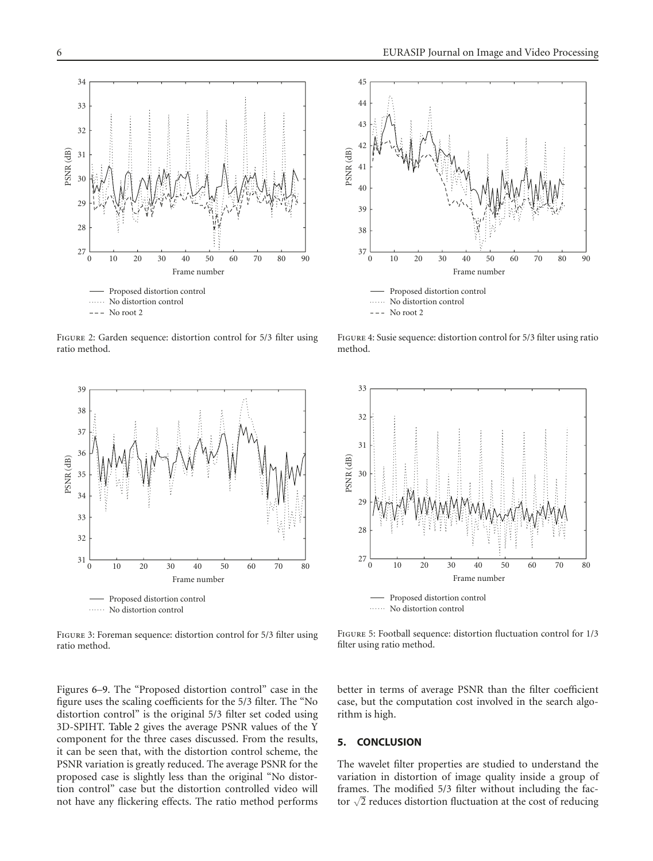

Figure 2: Garden sequence: distortion control for 5/3 filter using ratio method.



Figure 3: Foreman sequence: distortion control for 5/3 filter using ratio method.

Figures [6](#page-6-0)[–9.](#page-6-1) The "Proposed distortion control" case in the figure uses the scaling coefficients for the 5/3 filter. The "No distortion control" is the original 5/3 filter set coded using 3D-SPIHT. [Table 2](#page-6-2) gives the average PSNR values of the Y component for the three cases discussed. From the results, it can be seen that, with the distortion control scheme, the PSNR variation is greatly reduced. The average PSNR for the proposed case is slightly less than the original "No distortion control" case but the distortion controlled video will not have any flickering effects. The ratio method performs



<span id="page-5-1"></span>Figure 4: Susie sequence: distortion control for 5/3 filter using ratio method.



 $\ldots$  . No distortion control

<span id="page-5-2"></span>Figure 5: Football sequence: distortion fluctuation control for 1/3 filter using ratio method.

better in terms of average PSNR than the filter coefficient case, but the computation cost involved in the search algorithm is high.

### <span id="page-5-0"></span>**5. CONCLUSION**

The wavelet filter properties are studied to understand the variation in distortion of image quality inside a group of frames. The modified 5/3 filter without including the factor  $\sqrt{2}$  reduces distortion fluctuation at the cost of reducing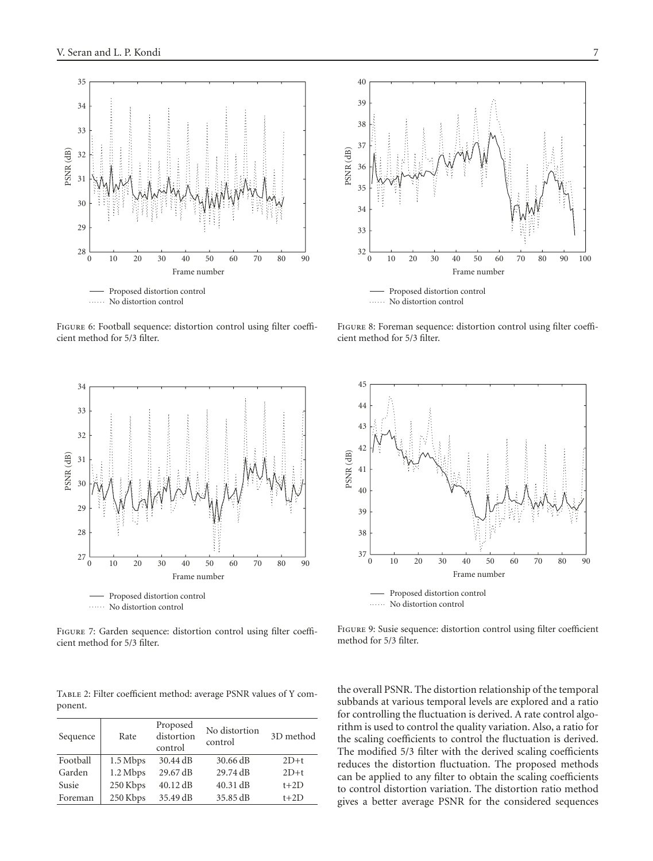

40 39 38 37 PSNR (dB) 36 35 34 33 32 0 10 20 30 40 50 60 70 80 90 100 Frame number Proposed distortion control  $\ldots$  . No distortion control

<span id="page-6-0"></span>FIGURE 6: Football sequence: distortion control using filter coefficient method for 5/3 filter.

Figure 8: Foreman sequence: distortion control using filter coefficient method for 5/3 filter.

45



Figure 7: Garden sequence: distortion control using filter coefficient method for 5/3 filter.

<span id="page-6-2"></span>Table 2: Filter coefficient method: average PSNR values of Y component.

| Sequence | Rate     | Proposed<br>distortion<br>control | No distortion<br>control | 3D method |
|----------|----------|-----------------------------------|--------------------------|-----------|
| Football | 1.5 Mbps | 30.44 dB                          | 30.66 dB                 | $2D+t$    |
| Garden   | 1.2 Mbps | 29.67 dB                          | 29.74 dB                 | $2D+t$    |
| Susie    | 250 Kbps | 40.12 dB                          | $40.31$ dB               | $t+2D$    |
| Foreman  | 250 Kbps | 35.49 dB                          | 35.85 dB                 | $t+2D$    |

0 10 20 30 40 50 60 70 80 90  $\frac{1}{37}$  0 38 39 40 41 42 43 44 Frame number PSNR (dB) Proposed distortion control No distortion control

<span id="page-6-1"></span>Figure 9: Susie sequence: distortion control using filter coefficient method for 5/3 filter.

the overall PSNR. The distortion relationship of the temporal subbands at various temporal levels are explored and a ratio for controlling the fluctuation is derived. A rate control algorithm is used to control the quality variation. Also, a ratio for the scaling coefficients to control the fluctuation is derived. The modified 5/3 filter with the derived scaling coefficients reduces the distortion fluctuation. The proposed methods can be applied to any filter to obtain the scaling coefficients to control distortion variation. The distortion ratio method gives a better average PSNR for the considered sequences